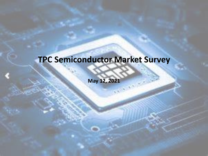## **TPC Semiconductor Market Survey**

**May 12, 2021**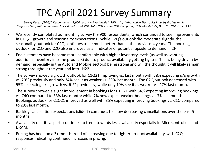### TPC April 2021 Survey Summary

*Survey Date: 4/30-5/2 Respondents: ~9,900 Location: Worldwide (~80% Asia) Who: Active Electronics Industry Professionals Response Composition (multiple choices): Industrial 39%, Auto 20%, Comm 19%, Computing 18%, Mobile 32%, Data Ctr 19%, Other 13%*

- We recently completed our monthly survey (~9,900 respondents) which continued to see improvements in C1Q21 growth and seasonality expectations. While C2Q's outlook did moderate slightly, the seasonality outlook for C2Q continues to be much better than in the previous 4 years. The bookings outlook for C1Q and C2Q also improved as an indicator of potential upside to demand in 2H.
- End customers have become more comfortable with higher inventory levels (as well as wanting additional inventory in some products) due to product availability getting tighter. This is being driven by demand (especially in the Auto and Mobile sectors) being strong and will the thought it will likely remain strong throughout the year and into 1H22.
- The survey showed a growth outlook for C1Q21 improving vs. last month with 38% expecting q/q growth vs. 29% previously and only 34% see it as weaker vs. 39% last month. The C2Q outlook decreased with 55% expecting q/q growth vs. 61% previously; while only 19% see it as weaker vs. 17% last month.
- The survey showed a slight improvement in bookings for C1Q21 with 34% expecting improving bookings vs. C4Q compared to 33% last month; while 7% now expect weaker bookings vs. 7% last month. Bookings outlook for C2Q21 improved as well with 35% expecting improving bookings vs. C1Q compared to 29% last month.
- Backlog cancellation expectations (slide 7) continues to show decreasing cancellations over the past 5 months.
- Availability of critical parts continues to trend towards less availability especially in Microcontrollers and DRAM.
- Pricing has been on a 3+ month trend of increasing due to tighter product availability, with C2Q responses indicating continued increases in pricing.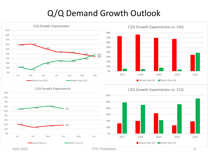#### Q/Q Demand Growth Outlook

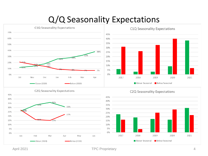#### Q/Q Seasonality Expectations









#### C2Q Seasonality Expectations

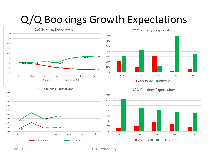# Q/Q Bookings Growth Expectations

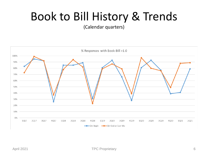# Book to Bill History & Trends

(Calendar quarters)

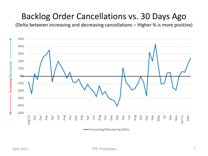#### Backlog Order Cancellations vs. 30 Days Ago

(Delta between increasing and decreasing cancellations – Higher % is more positive)

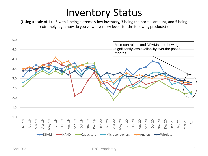## Inventory Status

(Using a scale of 1 to 5 with 1 being extremely low inventory, 3 being the normal amount, and 5 being extremely high; how do you view inventory levels for the following products?)

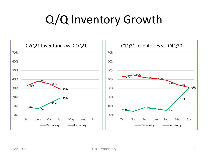# Q/Q Inventory Growth

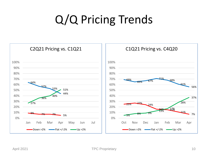# Q/Q Pricing Trends